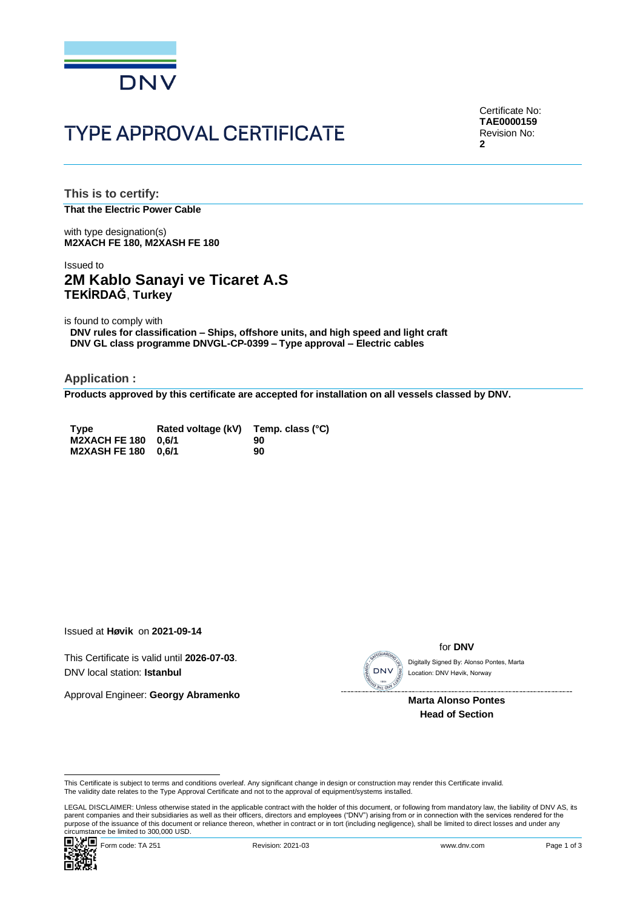

# **TYPE APPROVAL CERTIFICATE**

Certificate No: **TAE0000159** Revision No: **2**

**This is to certify: That the Electric Power Cable**

with type designation(s) **M2XACH FE 180, M2XASH FE 180**

# Issued to **2M Kablo Sanayi ve Ticaret A.S TEKİRDAĞ**, **Turkey**

is found to comply with

**DNV rules for classification – Ships, offshore units, and high speed and light craft DNV GL class programme DNVGL-CP-0399 – Type approval – Electric cables**

**Application :**

**Products approved by this certificate are accepted for installation on all vessels classed by DNV.**

| <b>Type</b>         | Rated voltage (kV) Temp. class (°C) |    |
|---------------------|-------------------------------------|----|
| M2XACH FE 180 0.6/1 |                                     | 90 |
| M2XASH FE 180 0.6/1 |                                     | 90 |

Issued at **Høvik** on **2021-09-14**

This Certificate is valid until **2026-07-03**. DNV local station: **Istanbul**

Approval Engineer: **Georgy Abramenko**



for **DNV**

Location: DNV Høvik, Norway

 **Marta Alonso Pontes Head of Section**

LEGAL DISCLAIMER: Unless otherwise stated in the applicable contract with the holder of this document, or following from mandatory law, the liability of DNV AS, its<br>parent companies and their subsidiaries as well as their purpose of the issuance of this document or reliance thereon, whether in contract or in tort (including negligence), shall be limited to direct losses and under any purpose of the issuance of this document or reliance ther Circumstance be limited to 300,000 USD.<br>
Correction: DNV local station: Istanbul<br>
Approval Engineer: Georgy Abramenko<br>
Marta Alonso Pontes<br>
Marta Alonso Pontes<br>
Head of Section<br>
This Certificate is subject to terms and con



This Certificate is subject to terms and conditions overleaf. Any significant change in design or construction may render this Certificate invalid.<br>The validity date relates to the Type Approval Certificate and not to the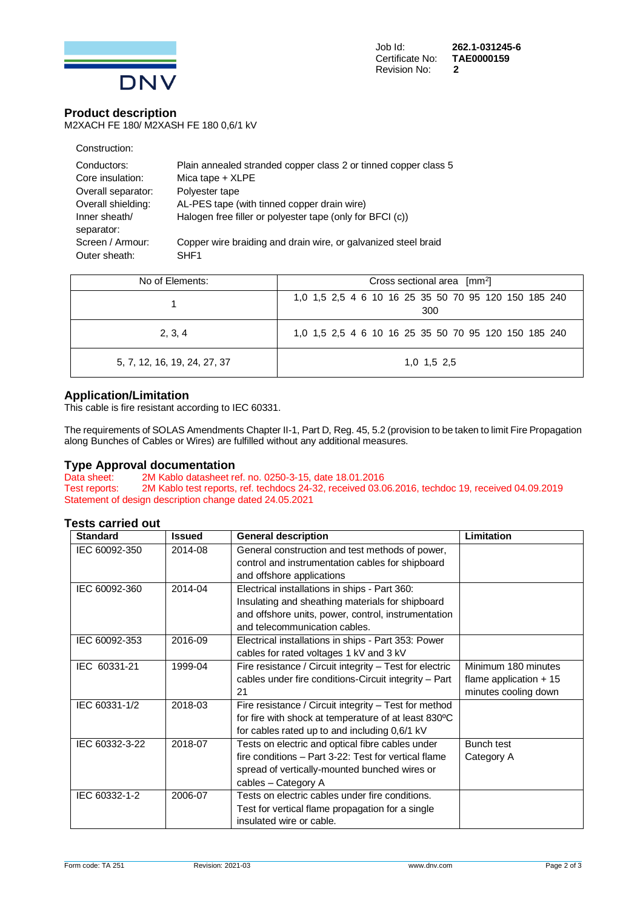

### **Product description**

M2XACH FE 180/ M2XASH FE 180 0,6/1 kV

| Construction:      |                                                                 |
|--------------------|-----------------------------------------------------------------|
| Conductors:        | Plain annealed stranded copper class 2 or tinned copper class 5 |
| Core insulation:   | Mica tape + XLPE                                                |
| Overall separator: | Polyester tape                                                  |
| Overall shielding: | AL-PES tape (with tinned copper drain wire)                     |
| Inner sheath/      | Halogen free filler or polyester tape (only for BFCI (c))       |
| separator:         |                                                                 |
| Screen / Armour:   | Copper wire braiding and drain wire, or galvanized steel braid  |
| Outer sheath:      | SHF <sub>1</sub>                                                |

| No of Elements:              | Cross sectional area $\lceil mm^2 \rceil$                   |  |  |
|------------------------------|-------------------------------------------------------------|--|--|
|                              | 1,0 1,5 2,5 4 6 10 16 25 35 50 70 95 120 150 185 240<br>300 |  |  |
| 2, 3, 4                      | 1,0 1,5 2,5 4 6 10 16 25 35 50 70 95 120 150 185 240        |  |  |
| 5, 7, 12, 16, 19, 24, 27, 37 | $1.0$ $1.5$ $2.5$                                           |  |  |

## **Application/Limitation**

This cable is fire resistant according to IEC 60331.

The requirements of SOLAS Amendments Chapter II-1, Part D, Reg. 45, 5.2 (provision to be taken to limit Fire Propagation along Bunches of Cables or Wires) are fulfilled without any additional measures.

# **Type Approval documentation**<br>Data sheet: 2M Kablo datasheet re

Data sheet: 2M Kablo datasheet ref. no. 0250-3-15, date 18.01.2016<br>Test reports: 2M Kablo test reports, ref. techdocs 24-32, received 03.0 2M Kablo test reports, ref. techdocs 24-32, received 03.06.2016, techdoc 19, received 04.09.2019 Statement of design description change dated 24.05.2021

#### **Tests carried out**

| <b>Standard</b> | <b>Issued</b> | <b>General description</b>                              | Limitation              |
|-----------------|---------------|---------------------------------------------------------|-------------------------|
| IEC 60092-350   | 2014-08       | General construction and test methods of power,         |                         |
|                 |               | control and instrumentation cables for shipboard        |                         |
|                 |               | and offshore applications                               |                         |
| IEC 60092-360   | 2014-04       | Electrical installations in ships - Part 360:           |                         |
|                 |               | Insulating and sheathing materials for shipboard        |                         |
|                 |               | and offshore units, power, control, instrumentation     |                         |
|                 |               | and telecommunication cables.                           |                         |
| IEC 60092-353   | 2016-09       | Electrical installations in ships - Part 353: Power     |                         |
|                 |               | cables for rated voltages 1 kV and 3 kV                 |                         |
| IEC 60331-21    | 1999-04       | Fire resistance / Circuit integrity - Test for electric | Minimum 180 minutes     |
|                 |               | cables under fire conditions-Circuit integrity - Part   | flame application $+15$ |
|                 |               | 21                                                      | minutes cooling down    |
| IEC 60331-1/2   | 2018-03       | Fire resistance / Circuit integrity - Test for method   |                         |
|                 |               | for fire with shock at temperature of at least 830°C    |                         |
|                 |               | for cables rated up to and including 0,6/1 kV           |                         |
| IEC 60332-3-22  | 2018-07       | Tests on electric and optical fibre cables under        | Bunch test              |
|                 |               | fire conditions - Part 3-22: Test for vertical flame    | Category A              |
|                 |               | spread of vertically-mounted bunched wires or           |                         |
|                 |               | cables - Category A                                     |                         |
| IEC 60332-1-2   | 2006-07       | Tests on electric cables under fire conditions.         |                         |
|                 |               | Test for vertical flame propagation for a single        |                         |
|                 |               | insulated wire or cable.                                |                         |